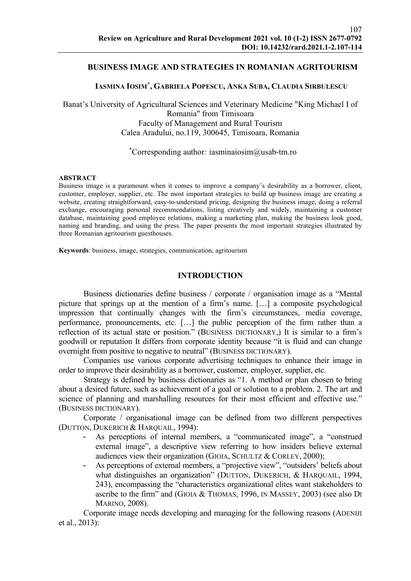## BUSINESS IMAGE AND STRATEGIES IN ROMANIAN AGRITOURISM

## IASMINA IOSIM\* , GABRIELA POPESCU, ANKA SUBA, CLAUDIA SIRBULESCU

Banat's University of Agricultural Sciences and Veterinary Medicine "King Michael I of Romania" from Timisoara Faculty of Management and Rural Tourism Calea Aradului, no.119, 300645, Timisoara, Romania

#### \*Corresponding author: iasminaiosim $@$ usab-tm.ro

#### ABSTRACT

Business image is a paramount when it comes to improve a company's desirability as a borrower, client, customer, employer, supplier, etc. The most important strategies to build up business image are creating a website, creating straightforward, easy-to-understand pricing, designing the business image, doing a referral exchange, encouraging personal recommendations, listing creatively and widely, maintaining a customer database, maintaining good employee relations, making a marketing plan, making the business look good, naming and branding, and using the press. The paper presents the most important strategies illustrated by three Romanian agritourism guesthouses.

Keywords: business, image, strategies, communication, agritourism

#### INTRODUCTION

Business dictionaries define business / corporate / organisation image as a "Mental picture that springs up at the mention of a firm's name. […] a composite psychological impression that continually changes with the firm's circumstances, media coverage, performance, pronouncements, etc. […] the public perception of the firm rather than a reflection of its actual state or position." (BUSINESS DICTIONARY,) It is similar to a firm's goodwill or reputation It differs from corporate identity because "it is fluid and can change overnight from positive to negative to neutral" (BUSINESS DICTIONARY).

Companies use various corporate advertising techniques to enhance their image in order to improve their desirability as a borrower, customer, employer, supplier, etc.

Strategy is defined by business dictionaries as "1. A method or plan chosen to bring about a desired future, such as achievement of a goal or solution to a problem. 2. The art and science of planning and marshalling resources for their most efficient and effective use." (BUSINESS DICTIONARY).

Corporate / organisational image can be defined from two different perspectives (DUTTON, DUKERICH & HARQUAIL, 1994):

- As perceptions of internal members, a "communicated image", a "construed external image", a descriptive view referring to how insiders believe external audiences view their organization (GIOIA, SCHULTZ & CORLEY, 2000);
- As perceptions of external members, a "projective view", "outsiders' beliefs about what distinguishes an organization" (DUTTON, DUKERICH, & HARQUAIL, 1994, 243), encompassing the "characteristics organizational elites want stakeholders to ascribe to the firm" and (GIOIA & THOMAS, 1996, IN MASSEY, 2003) (see also DI MARINO, 2008).

Corporate image needs developing and managing for the following reasons (ADENIJI et al., 2013):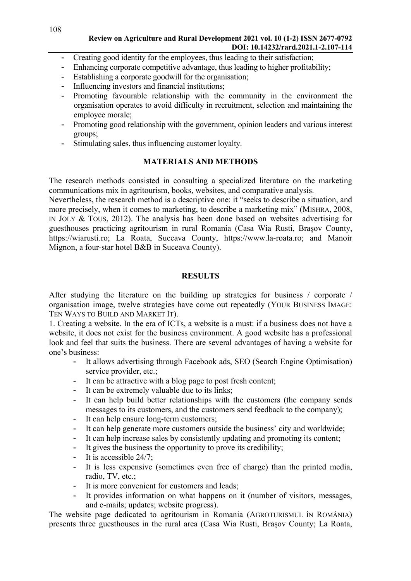# Review on Agriculture and Rural Development 2021 vol. 10 (1-2) ISSN 2677-0792 DOI: 10.14232/rard.2021.1-2.107-114

- Creating good identity for the employees, thus leading to their satisfaction;
- Enhancing corporate competitive advantage, thus leading to higher profitability;
- Establishing a corporate goodwill for the organisation;
- Influencing investors and financial institutions;
- Promoting favourable relationship with the community in the environment the organisation operates to avoid difficulty in recruitment, selection and maintaining the employee morale;
- Promoting good relationship with the government, opinion leaders and various interest groups;
- Stimulating sales, thus influencing customer loyalty.

# MATERIALS AND METHODS

The research methods consisted in consulting a specialized literature on the marketing communications mix in agritourism, books, websites, and comparative analysis.

Nevertheless, the research method is a descriptive one: it "seeks to describe a situation, and more precisely, when it comes to marketing, to describe a marketing mix" (MISHRA, 2008, IN JOLY & TOUS, 2012). The analysis has been done based on websites advertising for guesthouses practicing agritourism in rural Romania (Casa Wia Rusti, Brașov County, https://wiarusti.ro; La Roata, Suceava County, https://www.la-roata.ro; and Manoir Mignon, a four-star hotel B&B in Suceava County).

# **RESULTS**

After studying the literature on the building up strategies for business / corporate / organisation image, twelve strategies have come out repeatedly (YOUR BUSINESS IMAGE: TEN WAYS TO BUILD AND MARKET IT).

1. Creating a website. In the era of ICTs, a website is a must: if a business does not have a website, it does not exist for the business environment. A good website has a professional look and feel that suits the business. There are several advantages of having a website for one's business:

- It allows advertising through Facebook ads, SEO (Search Engine Optimisation) service provider, etc.;
- It can be attractive with a blog page to post fresh content;
- It can be extremely valuable due to its links;
- It can help build better relationships with the customers (the company sends messages to its customers, and the customers send feedback to the company);
- It can help ensure long-term customers;
- It can help generate more customers outside the business' city and worldwide;
- It can help increase sales by consistently updating and promoting its content;
- It gives the business the opportunity to prove its credibility;
- It is accessible 24/7;
- It is less expensive (sometimes even free of charge) than the printed media, radio, TV, etc.;
- It is more convenient for customers and leads;
- It provides information on what happens on it (number of visitors, messages, and e-mails; updates; website progress).

The website page dedicated to agritourism in Romania (AGROTURISMUL ÎN ROMÂNIA) presents three guesthouses in the rural area (Casa Wia Rusti, Brașov County; La Roata,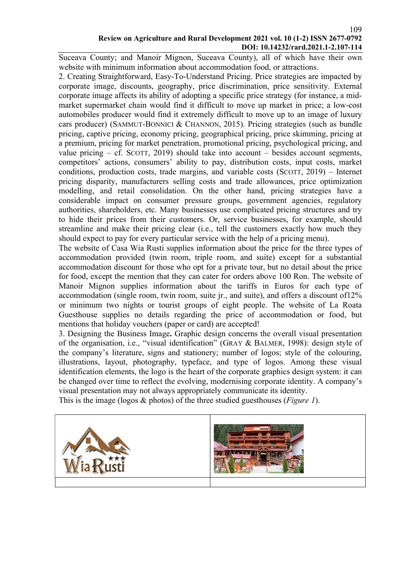# Review on Agriculture and Rural Development 2021 vol. 10 (1-2) ISSN 2677-0792 DOI: 10.14232/rard.2021.1-2.107-114

Suceava County; and Manoir Mignon, Suceava County), all of which have their own website with minimum information about accommodation food, or attractions.

2. Creating Straightforward, Easy-To-Understand Pricing. Price strategies are impacted by corporate image, discounts, geography, price discrimination, price sensitivity. External corporate image affects its ability of adopting a specific price strategy (for instance, a midmarket supermarket chain would find it difficult to move up market in price; a low-cost automobiles producer would find it extremely difficult to move up to an image of luxury cars producer) (SAMMUT-BONNICI & CHANNON, 2015). Pricing strategies (such as bundle pricing, captive pricing, economy pricing, geographical pricing, price skimming, pricing at a premium, pricing for market penetration, promotional pricing, psychological pricing, and value pricing  $-$  cf. SCOTT, 2019) should take into account  $-$  besides account segments, competitors' actions, consumers' ability to pay, distribution costs, input costs, market conditions, production costs, trade margins, and variable costs (SCOTT, 2019) – Internet pricing disparity, manufacturers selling costs and trade allowances, price optimization modelling, and retail consolidation. On the other hand, pricing strategies have a considerable impact on consumer pressure groups, government agencies, regulatory authorities, shareholders, etc. Many businesses use complicated pricing structures and try to hide their prices from their customers. Or, service businesses, for example, should streamline and make their pricing clear (i.e., tell the customers exactly how much they should expect to pay for every particular service with the help of a pricing menu).

The website of Casa Wia Rusti supplies information about the price for the three types of accommodation provided (twin room, triple room, and suite) except for a substantial accommodation discount for those who opt for a private tour, but no detail about the price for food, except the mention that they can cater for orders above 100 Ron. The website of Manoir Mignon supplies information about the tariffs in Euros for each type of accommodation (single room, twin room, suite jr., and suite), and offers a discount of12% or minimum two nights or tourist groups of eight people. The website of La Roata Guesthouse supplies no details regarding the price of accommodation or food, but mentions that holiday vouchers (paper or card) are accepted!

3. Designing the Business Image. Graphic design concerns the overall visual presentation of the organisation, i.e., "visual identification" (GRAY & BALMER, 1998): design style of the company's literature, signs and stationery; number of logos; style of the colouring, illustrations, layout, photography, typeface, and type of logos. Among these visual identification elements, the logo is the heart of the corporate graphics design system: it can be changed over time to reflect the evolving, modernising corporate identity. A company's visual presentation may not always appropriately communicate its identity.

This is the image (logos  $\&$  photos) of the three studied guesthouses (*Figure 1*).

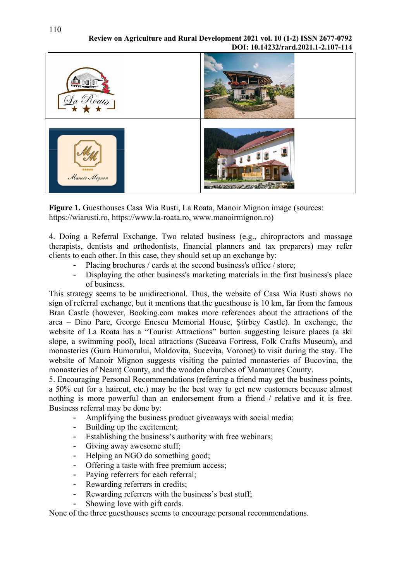Review on Agriculture and Rural Development 2021 vol. 10 (1-2) ISSN 2677-0792 DOI: 10.14232/rard.2021.1-2.107-114



Figure 1. Guesthouses Casa Wia Rusti, La Roata, Manoir Mignon image (sources: https://wiarusti.ro, https://www.la-roata.ro, www.manoirmignon.ro)

4. Doing a Referral Exchange. Two related business (e.g., chiropractors and massage therapists, dentists and orthodontists, financial planners and tax preparers) may refer clients to each other. In this case, they should set up an exchange by:

- Placing brochures / cards at the second business's office / store;
- Displaying the other business's marketing materials in the first business's place of business.

This strategy seems to be unidirectional. Thus, the website of Casa Wia Rusti shows no sign of referral exchange, but it mentions that the guesthouse is 10 km, far from the famous Bran Castle (however, Booking.com makes more references about the attractions of the area – Dino Parc, George Enescu Memorial House, Știrbey Castle). In exchange, the website of La Roata has a "Tourist Attractions" button suggesting leisure places (a ski slope, a swimming pool), local attractions (Suceava Fortress, Folk Crafts Museum), and monasteries (Gura Humorului, Moldovița, Sucevița, Voroneț) to visit during the stay. The website of Manoir Mignon suggests visiting the painted monasteries of Bucovina, the monasteries of Neamț County, and the wooden churches of Maramureș County.

5. Encouraging Personal Recommendations (referring a friend may get the business points, a 50% cut for a haircut, etc.) may be the best way to get new customers because almost nothing is more powerful than an endorsement from a friend / relative and it is free. Business referral may be done by:

- Amplifying the business product giveaways with social media;
- Building up the excitement;
- Establishing the business's authority with free webinars;
- Giving away awesome stuff;
- Helping an NGO do something good;
- Offering a taste with free premium access;
- Paying referrers for each referral;
- Rewarding referrers in credits;
- Rewarding referrers with the business's best stuff;
- Showing love with gift cards.

None of the three guesthouses seems to encourage personal recommendations.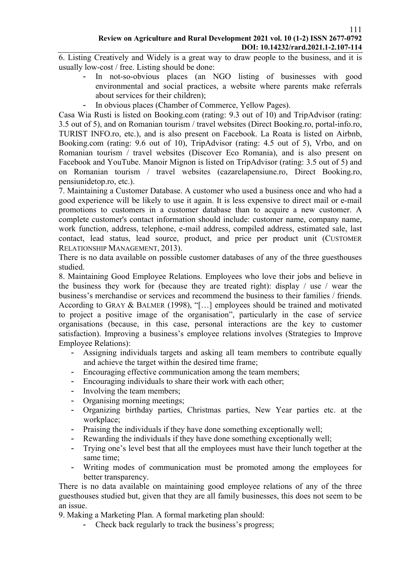6. Listing Creatively and Widely is a great way to draw people to the business, and it is usually low-cost / free. Listing should be done:

- In not-so-obvious places (an NGO listing of businesses with good environmental and social practices, a website where parents make referrals about services for their children);
- In obvious places (Chamber of Commerce, Yellow Pages).

Casa Wia Rusti is listed on Booking.com (rating: 9.3 out of 10) and TripAdvisor (rating: 3.5 out of 5), and on Romanian tourism / travel websites (Direct Booking.ro, portal-info.ro, TURIST INFO.ro, etc.), and is also present on Facebook. La Roata is listed on Airbnb, Booking.com (rating: 9.6 out of 10), TripAdvisor (rating: 4.5 out of 5), Vrbo, and on Romanian tourism / travel websites (Discover Eco Romania), and is also present on Facebook and YouTube. Manoir Mignon is listed on TripAdvisor (rating: 3.5 out of 5) and on Romanian tourism / travel websites (cazarelapensiune.ro, Direct Booking.ro, pensiunidetop.ro, etc.).

7. Maintaining a Customer Database. A customer who used a business once and who had a good experience will be likely to use it again. It is less expensive to direct mail or e-mail promotions to customers in a customer database than to acquire a new customer. A complete customer's contact information should include: customer name, company name, work function, address, telephone, e-mail address, compiled address, estimated sale, last contact, lead status, lead source, product, and price per product unit (CUSTOMER RELATIONSHIP MANAGEMENT, 2013).

There is no data available on possible customer databases of any of the three guesthouses studied.

8. Maintaining Good Employee Relations. Employees who love their jobs and believe in the business they work for (because they are treated right): display / use / wear the business's merchandise or services and recommend the business to their families / friends. According to GRAY & BALMER (1998), "[…] employees should be trained and motivated to project a positive image of the organisation", particularly in the case of service organisations (because, in this case, personal interactions are the key to customer satisfaction). Improving a business's employee relations involves (Strategies to Improve Employee Relations):

- Assigning individuals targets and asking all team members to contribute equally and achieve the target within the desired time frame;
- Encouraging effective communication among the team members;
- Encouraging individuals to share their work with each other;
- Involving the team members;
- Organising morning meetings;
- Organizing birthday parties, Christmas parties, New Year parties etc. at the workplace;
- Praising the individuals if they have done something exceptionally well;
- Rewarding the individuals if they have done something exceptionally well;
- Trying one's level best that all the employees must have their lunch together at the same time;
- Writing modes of communication must be promoted among the employees for better transparency.

There is no data available on maintaining good employee relations of any of the three guesthouses studied but, given that they are all family businesses, this does not seem to be an issue.

9. Making a Marketing Plan. A formal marketing plan should:

- Check back regularly to track the business's progress;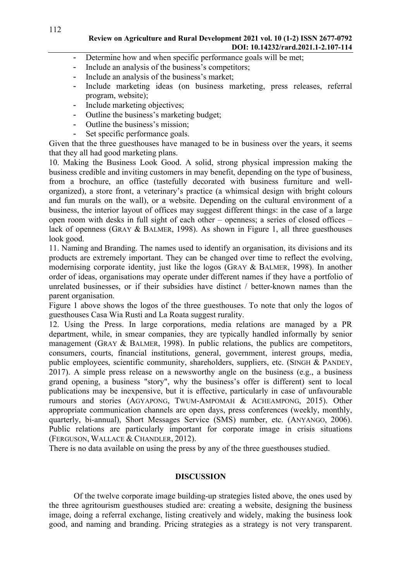- Determine how and when specific performance goals will be met;
- Include an analysis of the business's competitors;
- Include an analysis of the business's market;
- Include marketing ideas (on business marketing, press releases, referral program, website);
- Include marketing objectives;
- Outline the business's marketing budget;
- Outline the business's mission;
- Set specific performance goals.

Given that the three guesthouses have managed to be in business over the years, it seems that they all had good marketing plans.

10. Making the Business Look Good. A solid, strong physical impression making the business credible and inviting customers in may benefit, depending on the type of business, from a brochure, an office (tastefully decorated with business furniture and wellorganized), a store front, a veterinary's practice (a whimsical design with bright colours and fun murals on the wall), or a website. Depending on the cultural environment of a business, the interior layout of offices may suggest different things: in the case of a large open room with desks in full sight of each other – openness; a series of closed offices – lack of openness (GRAY & BALMER, 1998). As shown in Figure 1, all three guesthouses look good.

11. Naming and Branding. The names used to identify an organisation, its divisions and its products are extremely important. They can be changed over time to reflect the evolving, modernising corporate identity, just like the logos (GRAY & BALMER, 1998). In another order of ideas, organisations may operate under different names if they have a portfolio of unrelated businesses, or if their subsidies have distinct / better-known names than the parent organisation.

Figure 1 above shows the logos of the three guesthouses. To note that only the logos of guesthouses Casa Wia Rusti and La Roata suggest rurality.

12. Using the Press. In large corporations, media relations are managed by a PR department, while, in smear companies, they are typically handled informally by senior management (GRAY & BALMER, 1998). In public relations, the publics are competitors, consumers, courts, financial institutions, general, government, interest groups, media, public employees, scientific community, shareholders, suppliers, etc. (SINGH & PANDEY, 2017). A simple press release on a newsworthy angle on the business (e.g., a business grand opening, a business "story", why the business's offer is different) sent to local publications may be inexpensive, but it is effective, particularly in case of unfavourable rumours and stories (AGYAPONG, TWUM-AMPOMAH & ACHEAMPONG, 2015). Other appropriate communication channels are open days, press conferences (weekly, monthly, quarterly, bi-annual), Short Messages Service (SMS) number, etc. (ANYANGO, 2006). Public relations are particularly important for corporate image in crisis situations (FERGUSON, WALLACE & CHANDLER, 2012).

There is no data available on using the press by any of the three guesthouses studied.

#### **DISCUSSION**

Of the twelve corporate image building-up strategies listed above, the ones used by the three agritourism guesthouses studied are: creating a website, designing the business image, doing a referral exchange, listing creatively and widely, making the business look good, and naming and branding. Pricing strategies as a strategy is not very transparent.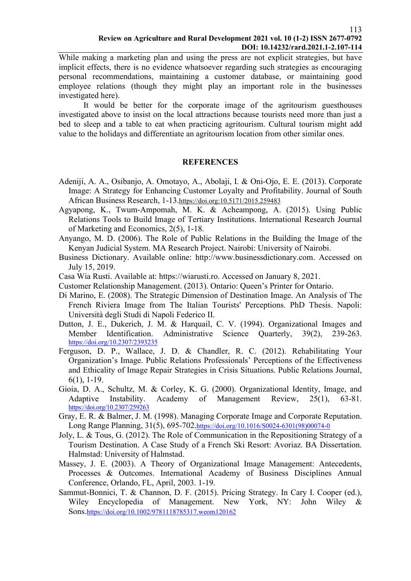While making a marketing plan and using the press are not explicit strategies, but have implicit effects, there is no evidence whatsoever regarding such strategies as encouraging personal recommendations, maintaining a customer database, or maintaining good employee relations (though they might play an important role in the businesses investigated here).

It would be better for the corporate image of the agritourism guesthouses investigated above to insist on the local attractions because tourists need more than just a bed to sleep and a table to eat when practicing agritourism. Cultural tourism might add value to the holidays and differentiate an agritourism location from other similar ones.

#### **REFERENCES**

- Adeniji, A. A., Osibanjo, A. Omotayo, A., Abolaji, I. & Oni-Ojo, E. E. (2013). Corporate Image: A Strategy for Enhancing Customer Loyalty and Profitability. Journal of South African Business Research, 1-13.https://doi.org:10.5171/2015.259483
- Agyapong, K., Twum-Ampomah, M. K. & Acheampong, A. (2015). Using Public Relations Tools to Build Image of Tertiary Institutions. International Research Journal of Marketing and Economics, 2(5), 1-18.
- Anyango, M. D. (2006). The Role of Public Relations in the Building the Image of the Kenyan Judicial System. MA Research Project. Nairobi: University of Nairobi.
- Business Dictionary. Available online: http://www.businessdictionary.com. Accessed on July 15, 2019.
- Casa Wia Rusti. Available at: https://wiarusti.ro. Accessed on January 8, 2021.
- Customer Relationship Management. (2013). Ontario: Queen's Printer for Ontario.
- Di Marino, E. (2008). The Strategic Dimension of Destination Image. An Analysis of The French Riviera Image from The Italian Tourists' Perceptions. PhD Thesis. Napoli: Università degli Studi di Napoli Federico II.
- Dutton, J. E., Dukerich, J. M. & Harquail, C. V. (1994). Organizational Images and Member Identification. Administrative Science Quarterly, 39(2), 239-263. https://doi.org/10.2307/2393235
- Ferguson, D. P., Wallace, J. D. & Chandler, R. C. (2012). Rehabilitating Your Organization's Image. Public Relations Professionals' Perceptions of the Effectiveness and Ethicality of Image Repair Strategies in Crisis Situations. Public Relations Journal, 6(1), 1-19.
- Gioia, D. A., Schultz, M. & Corley, K. G. (2000). Organizational Identity, Image, and Adaptive Instability. Academy of Management Review, 25(1), 63-81. https://doi.org/10.2307/259263
- Gray, E. R. & Balmer, J. M. (1998). Managing Corporate Image and Corporate Reputation. Long Range Planning, 31(5), 695-702.https://doi.org/10.1016/S0024-6301(98)00074-0
- Joly, L. & Tous, G. (2012). The Role of Communication in the Repositioning Strategy of a Tourism Destination. A Case Study of a French Ski Resort: Avoriaz. BA Dissertation. Halmstad: University of Halmstad.
- Massey, J. E. (2003). A Theory of Organizational Image Management: Antecedents, Processes & Outcomes. International Academy of Business Disciplines Annual Conference, Orlando, FL, April, 2003. 1-19.
- Sammut-Bonnici, T. & Channon, D. F. (2015). Pricing Strategy. In Cary I. Cooper (ed.), Wiley Encyclopedia of Management. New York, NY: John Wiley & Sons.https://doi.org/10.1002/9781118785317.weom120162